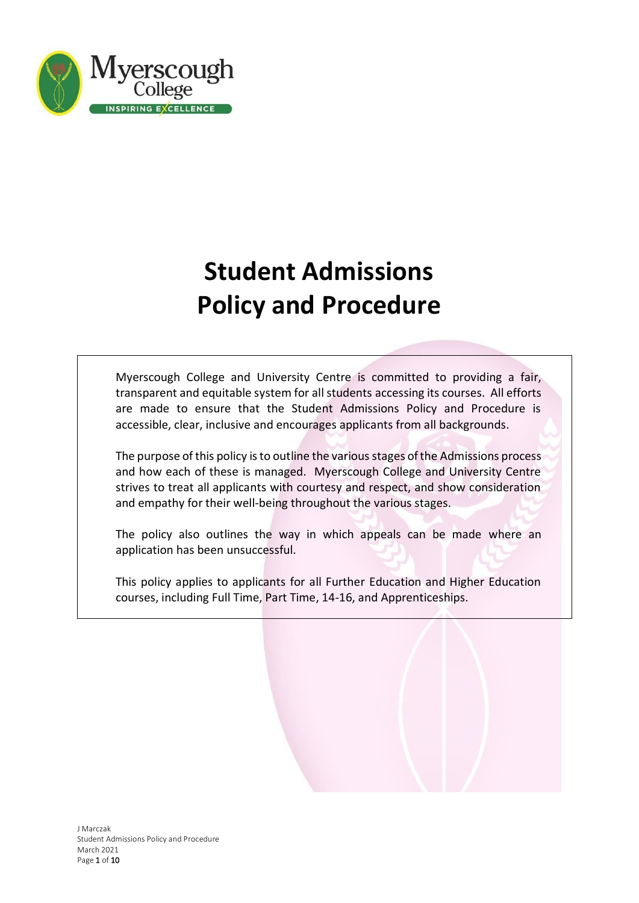

# **Student Admissions Policy and Procedure**

Myerscough College and University Centre is committed to providing a fair, transparent and equitable system for all students accessing its courses. All efforts are made to ensure that the Student Admissions Policy and Procedure is accessible, clear, inclusive and encourages applicants from all backgrounds.

The purpose of this policy is to outline the various stages of the Admissions process and how each of these is managed. Myerscough College and University Centre strives to treat all applicants with courtesy and respect, and show consideration and empathy for their well-being throughout the various stages.

The policy also outlines the way in which appeals can be made where an application has been unsuccessful.

This policy applies to applicants for all Further Education and Higher Education courses, including Full Time, Part Time, 14-16, and Apprenticeships.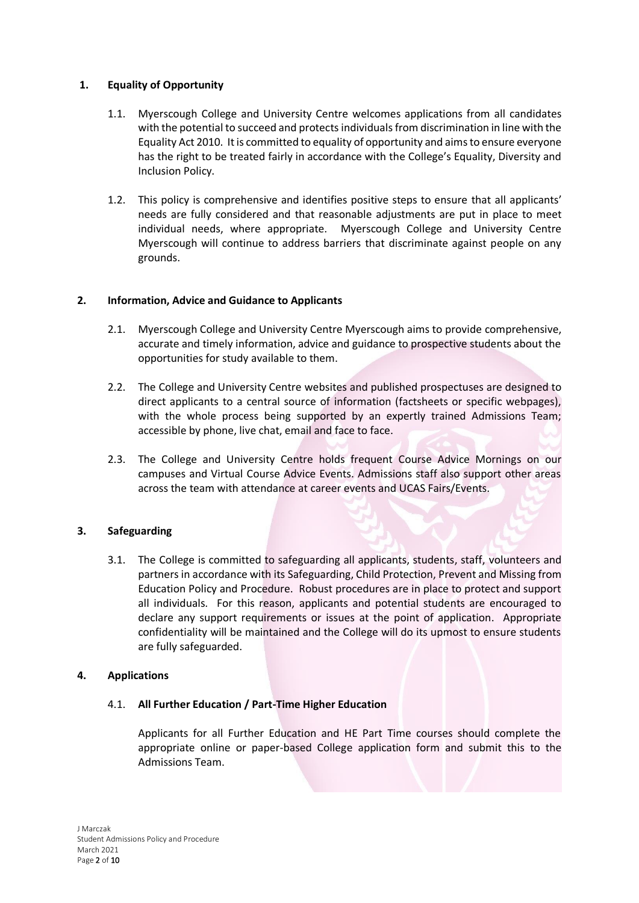## **1. Equality of Opportunity**

- 1.1. Myerscough College and University Centre welcomes applications from all candidates with the potential to succeed and protects individualsfrom discrimination in line with the Equality Act 2010. It is committed to equality of opportunity and aims to ensure everyone has the right to be treated fairly in accordance with the College's Equality, Diversity and Inclusion Policy.
- 1.2. This policy is comprehensive and identifies positive steps to ensure that all applicants' needs are fully considered and that reasonable adjustments are put in place to meet individual needs, where appropriate. Myerscough College and University Centre Myerscough will continue to address barriers that discriminate against people on any grounds.

#### **2. Information, Advice and Guidance to Applicants**

- 2.1. Myerscough College and University Centre Myerscough aims to provide comprehensive, accurate and timely information, advice and guidance to prospective students about the opportunities for study available to them.
- 2.2. The College and University Centre websites and published prospectuses are designed to direct applicants to a central source of information (factsheets or specific webpages), with the whole process being supported by an expertly trained Admissions Team; accessible by phone, live chat, email and face to face.
- 2.3. The College and University Centre holds frequent Course Advice Mornings on our campuses and Virtual Course Advice Events. Admissions staff also support other areas across the team with attendance at career events and UCAS Fairs/Events.

## **3. Safeguarding**

3.1. The College is committed to safeguarding all applicants, students, staff, volunteers and partners in accordance with its Safeguarding, Child Protection, Prevent and Missing from Education Policy and Procedure. Robust procedures are in place to protect and support all individuals. For this reason, applicants and potential students are encouraged to declare any support requirements or issues at the point of application. Appropriate confidentiality will be maintained and the College will do its upmost to ensure students are fully safeguarded.

#### **4. Applications**

## 4.1. **All Further Education / Part-Time Higher Education**

Applicants for all Further Education and HE Part Time courses should complete the appropriate online or paper-based College application form and submit this to the Admissions Team.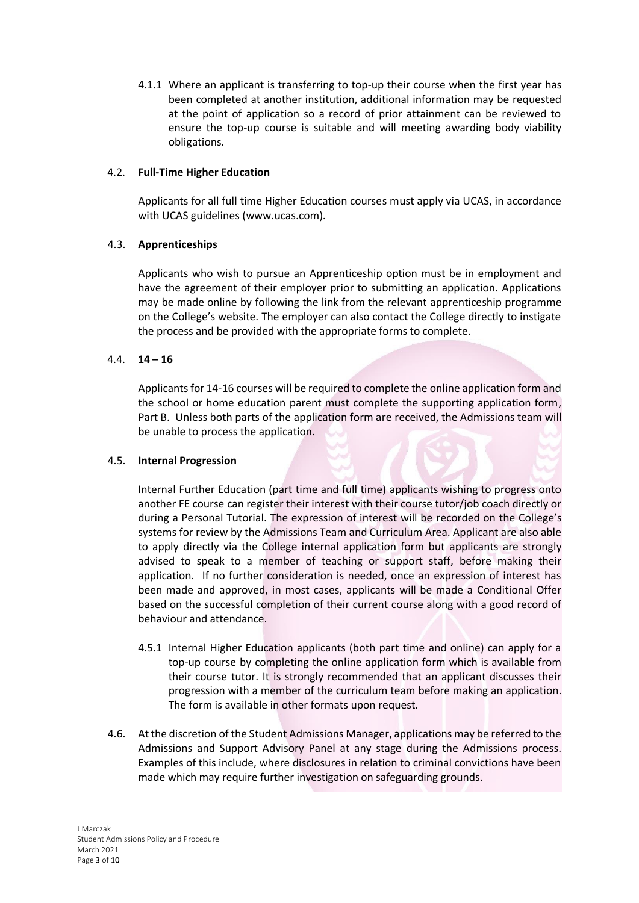4.1.1 Where an applicant is transferring to top-up their course when the first year has been completed at another institution, additional information may be requested at the point of application so a record of prior attainment can be reviewed to ensure the top-up course is suitable and will meeting awarding body viability obligations.

#### 4.2. **Full-Time Higher Education**

Applicants for all full time Higher Education courses must apply via UCAS, in accordance with UCAS guidelines [\(www.ucas.com\)](http://www.ucas.com/).

#### 4.3. **Apprenticeships**

Applicants who wish to pursue an Apprenticeship option must be in employment and have the agreement of their employer prior to submitting an application. Applications may be made online by following the link from the relevant apprenticeship programme on the College's website. The employer can also contact the College directly to instigate the process and be provided with the appropriate forms to complete.

#### 4.4. **14 – 16**

Applicants for 14-16 courses will be required to complete the online application form and the school or home education parent must complete the supporting application form, Part B. Unless both parts of the application form are received, the Admissions team will be unable to process the application.

#### 4.5. **Internal Progression**

Internal Further Education (part time and full time) applicants wishing to progress onto another FE course can register their interest with their course tutor/job coach directly or during a Personal Tutorial. The expression of interest will be recorded on the College's systems for review by the Admissions Team and Curriculum Area. Applicant are also able to apply directly via the College internal application form but applicants are strongly advised to speak to a member of teaching or support staff, before making their application. If no further consideration is needed, once an expression of interest has been made and approved, in most cases, applicants will be made a Conditional Offer based on the successful completion of their current course along with a good record of behaviour and attendance.

- 4.5.1 Internal Higher Education applicants (both part time and online) can apply for a top-up course by completing the online application form which is available from their course tutor. It is strongly recommended that an applicant discusses their progression with a member of the curriculum team before making an application. The form is available in other formats upon request.
- 4.6. At the discretion of the Student Admissions Manager, applications may be referred to the Admissions and Support Advisory Panel at any stage during the Admissions process. Examples of this include, where disclosures in relation to criminal convictions have been made which may require further investigation on safeguarding grounds.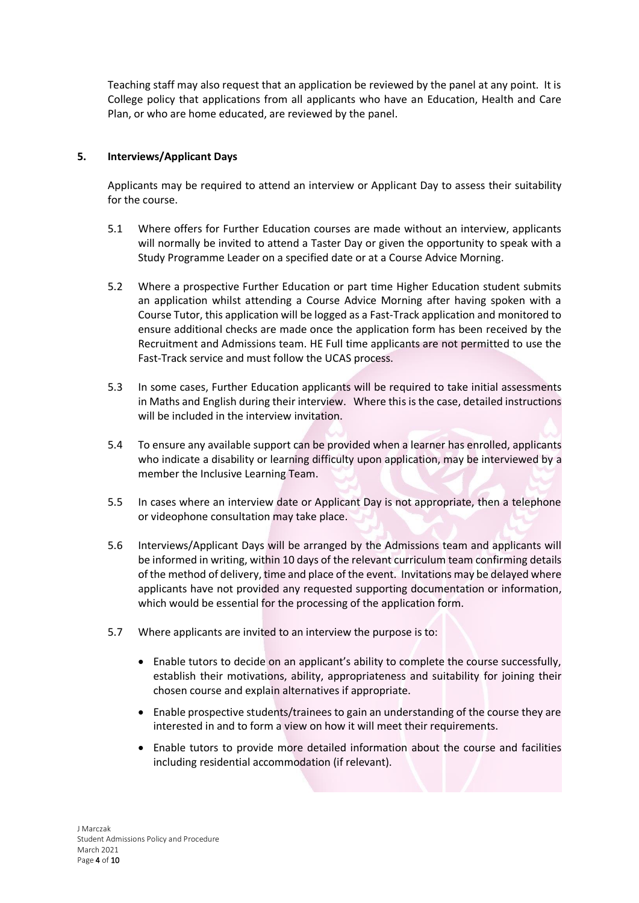Teaching staff may also request that an application be reviewed by the panel at any point. It is College policy that applications from all applicants who have an Education, Health and Care Plan, or who are home educated, are reviewed by the panel.

# **5. Interviews/Applicant Days**

Applicants may be required to attend an interview or Applicant Day to assess their suitability for the course.

- 5.1 Where offers for Further Education courses are made without an interview, applicants will normally be invited to attend a Taster Day or given the opportunity to speak with a Study Programme Leader on a specified date or at a Course Advice Morning.
- 5.2 Where a prospective Further Education or part time Higher Education student submits an application whilst attending a Course Advice Morning after having spoken with a Course Tutor, this application will be logged as a Fast-Track application and monitored to ensure additional checks are made once the application form has been received by the Recruitment and Admissions team. HE Full time applicants are not permitted to use the Fast-Track service and must follow the UCAS process.
- 5.3 In some cases, Further Education applicants will be required to take initial assessments in Maths and English during their interview. Where this is the case, detailed instructions will be included in the interview invitation.
- 5.4 To ensure any available support can be provided when a learner has enrolled, applicants who indicate a disability or learning difficulty upon application, may be interviewed by a member the Inclusive Learning Team.
- 5.5 In cases where an interview date or Applicant Day is not appropriate, then a telephone or videophone consultation may take place.
- 5.6 Interviews/Applicant Days will be arranged by the Admissions team and applicants will be informed in writing, within 10 days of the relevant curriculum team confirming details of the method of delivery, time and place of the event. Invitations may be delayed where applicants have not provided any requested supporting documentation or information, which would be essential for the processing of the application form.
- 5.7 Where applicants are invited to an interview the purpose is to:
	- Enable tutors to decide on an applicant's ability to complete the course successfully, establish their motivations, ability, appropriateness and suitability for joining their chosen course and explain alternatives if appropriate.
	- Enable prospective students/trainees to gain an understanding of the course they are interested in and to form a view on how it will meet their requirements.
	- Enable tutors to provide more detailed information about the course and facilities including residential accommodation (if relevant).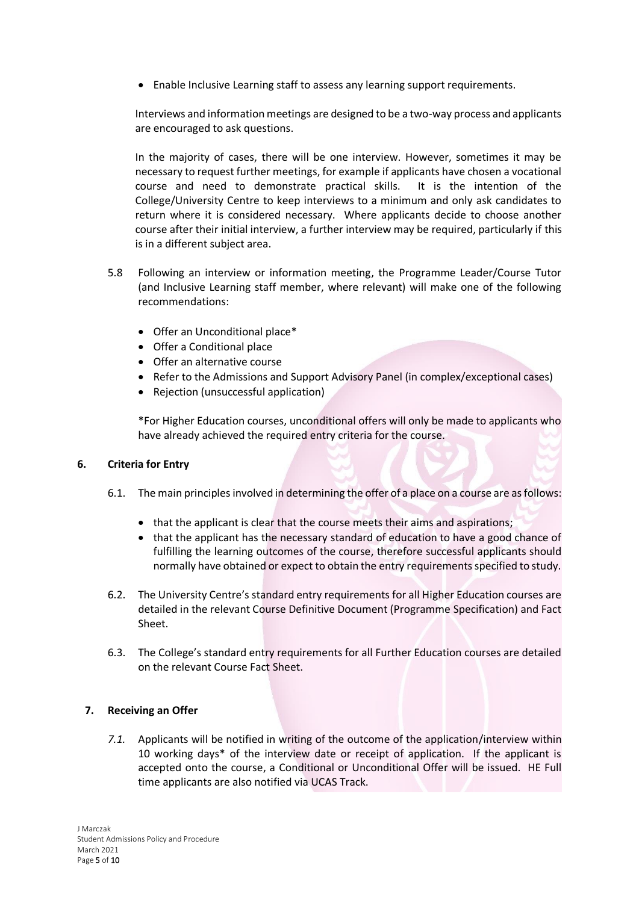• Enable Inclusive Learning staff to assess any learning support requirements.

Interviews and information meetings are designed to be a two-way process and applicants are encouraged to ask questions.

In the majority of cases, there will be one interview. However, sometimes it may be necessary to request further meetings, for example if applicants have chosen a vocational course and need to demonstrate practical skills. It is the intention of the College/University Centre to keep interviews to a minimum and only ask candidates to return where it is considered necessary. Where applicants decide to choose another course after their initial interview, a further interview may be required, particularly if this is in a different subject area.

- 5.8 Following an interview or information meeting, the Programme Leader/Course Tutor (and Inclusive Learning staff member, where relevant) will make one of the following recommendations:
	- Offer an Unconditional place\*
	- Offer a Conditional place
	- Offer an alternative course
	- Refer to the Admissions and Support Advisory Panel (in complex/exceptional cases)
	- Rejection (unsuccessful application)

\*For Higher Education courses, unconditional offers will only be made to applicants who have already achieved the required entry criteria for the course.

## **6. Criteria for Entry**

- 6.1. The main principles involved in determining the offer of a place on a course are as follows:
	- that the applicant is clear that the course meets their aims and aspirations;
	- that the applicant has the necessary standard of education to have a good chance of fulfilling the learning outcomes of the course, therefore successful applicants should normally have obtained or expect to obtain the entry requirements specified to study.
- 6.2. The University Centre's standard entry requirements for all Higher Education courses are detailed in the relevant Course Definitive Document (Programme Specification) and Fact Sheet.
- 6.3. The College's standard entry requirements for all Further Education courses are detailed on the relevant Course Fact Sheet.

## **7. Receiving an Offer**

*7.1.* Applicants will be notified in writing of the outcome of the application/interview within 10 working days\* of the interview date or receipt of application. If the applicant is accepted onto the course, a Conditional or Unconditional Offer will be issued. HE Full time applicants are also notified via UCAS Track.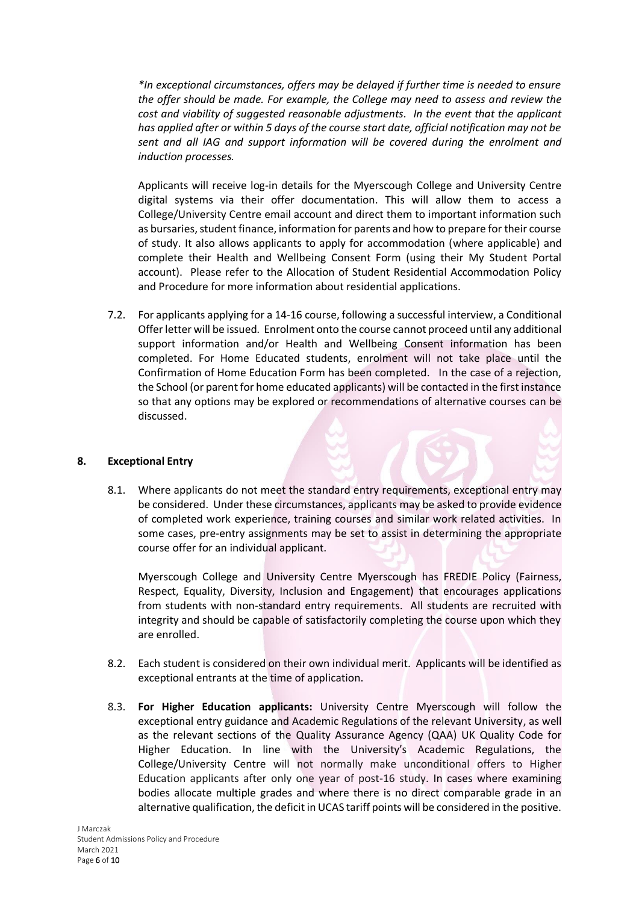*\*In exceptional circumstances, offers may be delayed if further time is needed to ensure the offer should be made. For example, the College may need to assess and review the cost and viability of suggested reasonable adjustments. In the event that the applicant has applied after or within 5 days of the course start date, official notification may not be sent and all IAG and support information will be covered during the enrolment and induction processes.*

Applicants will receive log-in details for the Myerscough College and University Centre digital systems via their offer documentation. This will allow them to access a College/University Centre email account and direct them to important information such as bursaries, student finance, information for parents and how to prepare for their course of study. It also allows applicants to apply for accommodation (where applicable) and complete their Health and Wellbeing Consent Form (using their My Student Portal account). Please refer to the Allocation of Student Residential Accommodation Policy and Procedure for more information about residential applications.

7.2. For applicants applying for a 14-16 course, following a successful interview, a Conditional Offer letter will be issued. Enrolment onto the course cannot proceed until any additional support information and/or Health and Wellbeing Consent information has been completed. For Home Educated students, enrolment will not take place until the Confirmation of Home Education Form has been completed. In the case of a rejection, the School (or parent for home educated applicants) will be contacted in the first instance so that any options may be explored or recommendations of alternative courses can be discussed.

## **8. Exceptional Entry**

8.1. Where applicants do not meet the standard entry requirements, exceptional entry may be considered. Under these circumstances, applicants may be asked to provide evidence of completed work experience, training courses and similar work related activities. In some cases, pre-entry assignments may be set to assist in determining the appropriate course offer for an individual applicant.

Myerscough College and University Centre Myerscough has FREDIE Policy (Fairness, Respect, Equality, Diversity, Inclusion and Engagement) that encourages applications from students with non-standard entry requirements. All students are recruited with integrity and should be capable of satisfactorily completing the course upon which they are enrolled.

- 8.2. Each student is considered on their own individual merit. Applicants will be identified as exceptional entrants at the time of application.
- 8.3. **For Higher Education applicants:** University Centre Myerscough will follow the exceptional entry guidance and Academic Regulations of the relevant University, as well as the relevant sections of the Quality Assurance Agency (QAA) UK Quality Code for Higher Education. In line with the University's Academic Regulations, the College/University Centre will not normally make unconditional offers to Higher Education applicants after only one year of post-16 study. In cases where examining bodies allocate multiple grades and where there is no direct comparable grade in an alternative qualification, the deficit in UCAS tariff points will be considered in the positive.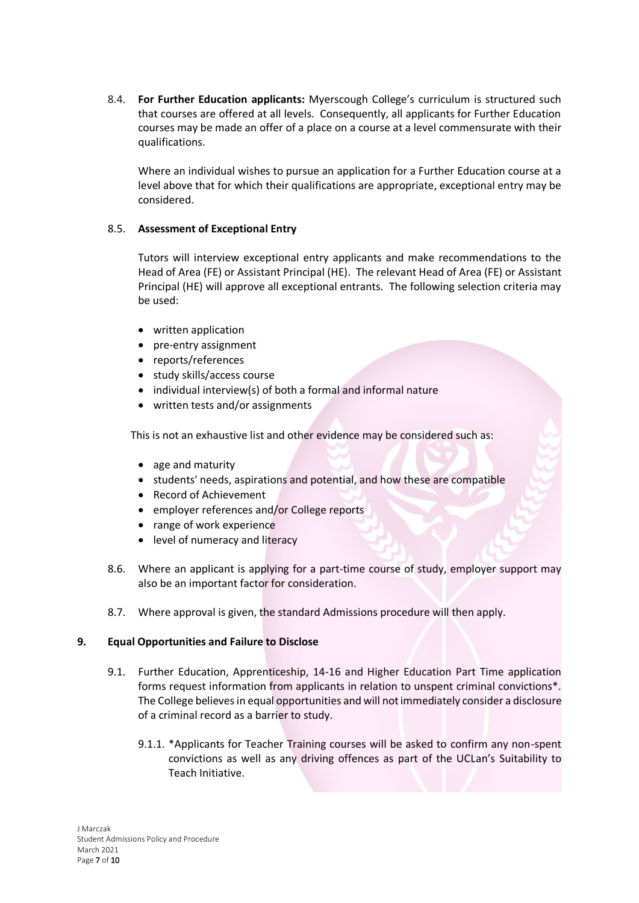8.4. **For Further Education applicants:** Myerscough College's curriculum is structured such that courses are offered at all levels. Consequently, all applicants for Further Education courses may be made an offer of a place on a course at a level commensurate with their qualifications.

Where an individual wishes to pursue an application for a Further Education course at a level above that for which their qualifications are appropriate, exceptional entry may be considered.

## 8.5. **Assessment of Exceptional Entry**

Tutors will interview exceptional entry applicants and make recommendations to the Head of Area (FE) or Assistant Principal (HE). The relevant Head of Area (FE) or Assistant Principal (HE) will approve all exceptional entrants. The following selection criteria may be used:

- written application
- pre-entry assignment
- reports/references
- study skills/access course
- individual interview(s) of both a formal and informal nature
- written tests and/or assignments

This is not an exhaustive list and other evidence may be considered such as:

- age and maturity
- students' needs, aspirations and potential, and how these are compatible
- Record of Achievement
- employer references and/or College reports
- range of work experience
- level of numeracy and literacy
- 8.6. Where an applicant is applying for a part-time course of study, employer support may also be an important factor for consideration.
- 8.7. Where approval is given, the standard Admissions procedure will then apply.

#### **9. Equal Opportunities and Failure to Disclose**

- 9.1. Further Education, Apprenticeship, 14-16 and Higher Education Part Time application forms request information from applicants in relation to unspent criminal convictions\*. The College believes in equal opportunities and will not immediately consider a disclosure of a criminal record as a barrier to study.
	- 9.1.1. \*Applicants for Teacher Training courses will be asked to confirm any non-spent convictions as well as any driving offences as part of the UCLan's Suitability to Teach Initiative.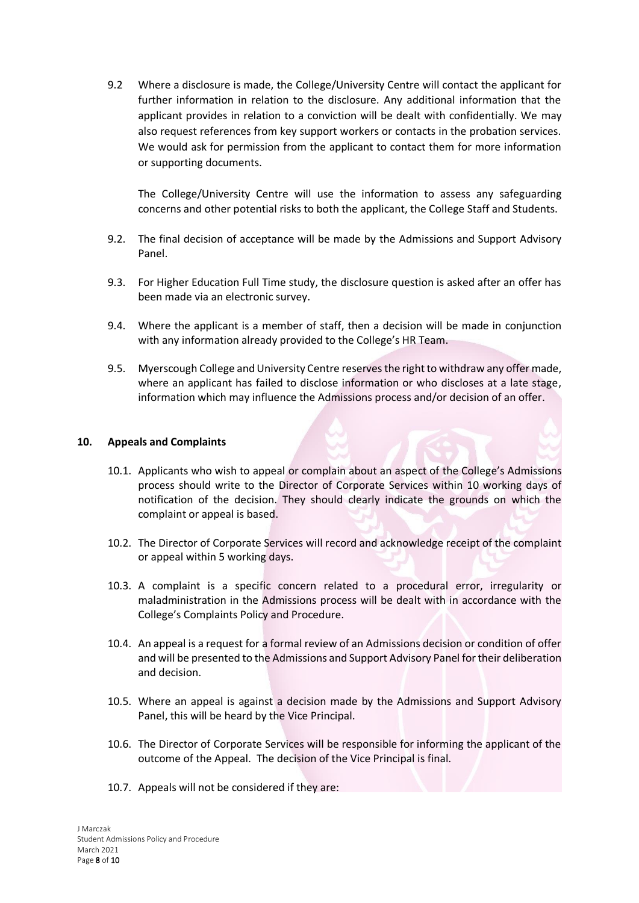9.2 Where a disclosure is made, the College/University Centre will contact the applicant for further information in relation to the disclosure. Any additional information that the applicant provides in relation to a conviction will be dealt with confidentially. We may also request references from key support workers or contacts in the probation services. We would ask for permission from the applicant to contact them for more information or supporting documents.

The College/University Centre will use the information to assess any safeguarding concerns and other potential risks to both the applicant, the College Staff and Students.

- 9.2. The final decision of acceptance will be made by the Admissions and Support Advisory Panel.
- 9.3. For Higher Education Full Time study, the disclosure question is asked after an offer has been made via an electronic survey.
- 9.4. Where the applicant is a member of staff, then a decision will be made in conjunction with any information already provided to the College's HR Team.
- 9.5. Myerscough College and University Centre reserves the right to withdraw any offer made, where an applicant has failed to disclose information or who discloses at a late stage, information which may influence the Admissions process and/or decision of an offer.

#### **10. Appeals and Complaints**

- 10.1. Applicants who wish to appeal or complain about an aspect of the College's Admissions process should write to the Director of Corporate Services within 10 working days of notification of the decision. They should clearly indicate the grounds on which the complaint or appeal is based.
- 10.2. The Director of Corporate Services will record and acknowledge receipt of the complaint or appeal within 5 working days.
- 10.3. A complaint is a specific concern related to a procedural error, irregularity or maladministration in the Admissions process will be dealt with in accordance with the College's Complaints Policy and Procedure.
- 10.4. An appeal is a request for a formal review of an Admissions decision or condition of offer and will be presented to the Admissions and Support Advisory Panel for their deliberation and decision.
- 10.5. Where an appeal is against a decision made by the Admissions and Support Advisory Panel, this will be heard by the Vice Principal.
- 10.6. The Director of Corporate Services will be responsible for informing the applicant of the outcome of the Appeal. The decision of the Vice Principal is final.
- 10.7. Appeals will not be considered if they are: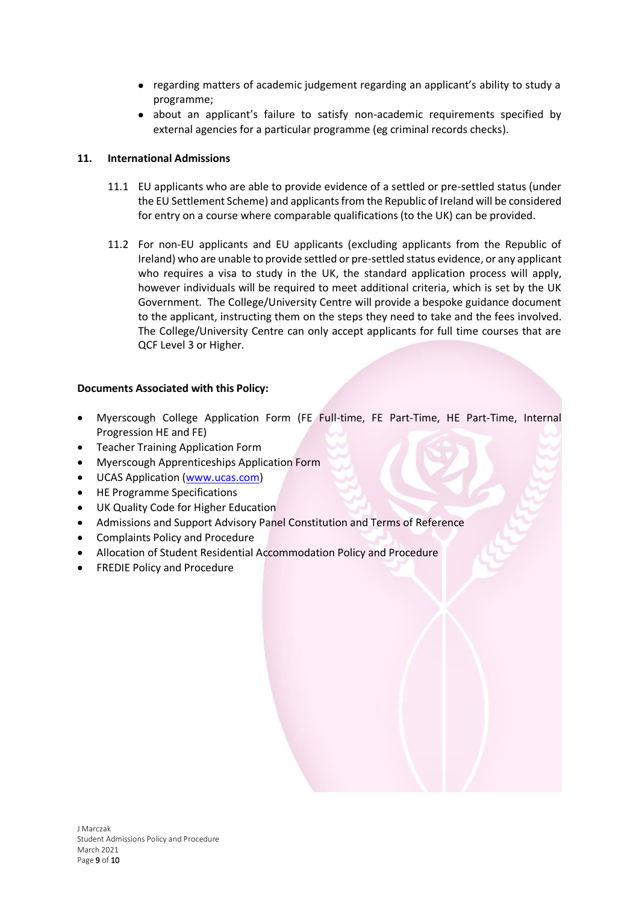- regarding matters of academic judgement regarding an applicant's ability to study a programme;
- about an applicant's failure to satisfy non-academic requirements specified by external agencies for a particular programme (eg criminal records checks).

## **11. International Admissions**

- 11.1 EU applicants who are able to provide evidence of a settled or pre-settled status (under the EU Settlement Scheme) and applicants from the Republic of Ireland will be considered for entry on a course where comparable qualifications (to the UK) can be provided.
- 11.2 For non-EU applicants and EU applicants (excluding applicants from the Republic of Ireland) who are unable to provide settled or pre-settled status evidence, or any applicant who requires a visa to study in the UK, the standard application process will apply, however individuals will be required to meet additional criteria, which is set by the UK Government. The College/University Centre will provide a bespoke guidance document to the applicant, instructing them on the steps they need to take and the fees involved. The College/University Centre can only accept applicants for full time courses that are QCF Level 3 or Higher.

## **Documents Associated with this Policy:**

- Myerscough College Application Form (FE Full-time, FE Part-Time, HE Part-Time, Internal Progression HE and FE)
- Teacher Training Application Form
- Myerscough Apprenticeships Application Form
- UCAS Application [\(www.ucas.com\)](http://www.ucas.com/)
- HE Programme Specifications
- UK Quality Code for Higher Education
- Admissions and Support Advisory Panel Constitution and Terms of Reference
- Complaints Policy and Procedure
- Allocation of Student Residential Accommodation Policy and Procedure
- FREDIE Policy and Procedure